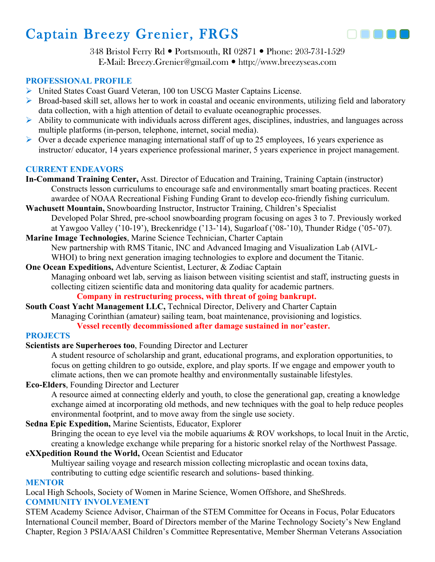

348 Bristol Ferry Rd • Portsmouth, RI 02871 • Phone: 203-731-1529 E-Mail: Breezy.Grenier@gmail.com ! http://www.breezyseas.com

# **PROFESSIONAL PROFILE**

- ! United States Coast Guard Veteran, 100 ton USCG Master Captains License.
- $\triangleright$  Broad-based skill set, allows her to work in coastal and oceanic environments, utilizing field and laboratory data collection, with a high attention of detail to evaluate oceanographic processes.
- $\triangleright$  Ability to communicate with individuals across different ages, disciplines, industries, and languages across multiple platforms (in-person, telephone, internet, social media).
- $\triangleright$  Over a decade experience managing international staff of up to 25 employees, 16 years experience as instructor/ educator, 14 years experience professional mariner, 5 years experience in project management.

# **CURRENT ENDEAVORS**

- **In-Command Training Center,** Asst. Director of Education and Training, Training Captain (instructor) Constructs lesson curriculums to encourage safe and environmentally smart boating practices. Recent awardee of NOAA Recreational Fishing Funding Grant to develop eco-friendly fishing curriculum.
- **Wachusett Mountain,** Snowboarding Instructor, Instructor Training, Children's Specialist Developed Polar Shred, pre-school snowboarding program focusing on ages 3 to 7. Previously worked at Yawgoo Valley ('10-19'), Breckenridge ('13-'14), Sugarloaf ('08-'10), Thunder Ridge ('05-'07).
- **Marine Image Technologies**, Marine Science Technician, Charter Captain New partnership with RMS Titanic, INC and Advanced Imaging and Visualization Lab (AIVL-WHOI) to bring next generation imaging technologies to explore and document the Titanic.
- **One Ocean Expeditions,** Adventure Scientist, Lecturer, & Zodiac Captain Managing onboard wet lab, serving as liaison between visiting scientist and staff, instructing guests in collecting citizen scientific data and monitoring data quality for academic partners.

### **Company in restructuring process, with threat of going bankrupt.**

**South Coast Yacht Management LLC,** Technical Director, Delivery and Charter Captain Managing Corinthian (amateur) sailing team, boat maintenance, provisioning and logistics.

# **Vessel recently decommissioned after damage sustained in nor'easter.**

### **PROJECTS**

# **Scientists are Superheroes too**, Founding Director and Lecturer

A student resource of scholarship and grant, educational programs, and exploration opportunities, to focus on getting children to go outside, explore, and play sports. If we engage and empower youth to climate actions, then we can promote healthy and environmentally sustainable lifestyles.

**Eco-Elders**, Founding Director and Lecturer

A resource aimed at connecting elderly and youth, to close the generational gap, creating a knowledge exchange aimed at incorporating old methods, and new techniques with the goal to help reduce peoples environmental footprint, and to move away from the single use society.

# **Sedna Epic Expedition,** Marine Scientists, Educator, Explorer

Bringing the ocean to eye level via the mobile aquariums & ROV workshops, to local Inuit in the Arctic, creating a knowledge exchange while preparing for a historic snorkel relay of the Northwest Passage.

# **eXXpedition Round the World,** Ocean Scientist and Educator

Multiyear sailing voyage and research mission collecting microplastic and ocean toxins data,

contributing to cutting edge scientific research and solutions- based thinking.

# **MENTOR**

Local High Schools, Society of Women in Marine Science, Women Offshore, and SheShreds.

### **COMMUNITY INVOLVEMENT**

STEM Academy Science Advisor, Chairman of the STEM Committee for Oceans in Focus, Polar Educators International Council member, Board of Directors member of the Marine Technology Society's New England Chapter, Region 3 PSIA/AASI Children's Committee Representative, Member Sherman Veterans Association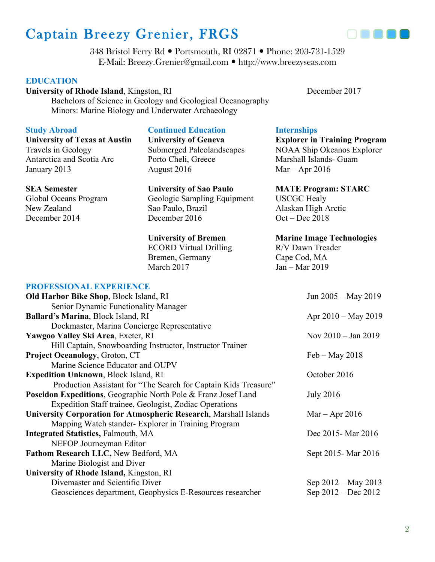

348 Bristol Ferry Rd • Portsmouth, RI 02871 • Phone: 203-731-1529 E-Mail: Breezy.Grenier@gmail.com ! http://www.breezyseas.com

#### **EDUCATION**

**University of Rhode Island**, Kingston, RI December 2017

Bachelors of Science in Geology and Geological Oceanography Minors: Marine Biology and Underwater Archaeology

# **Study Abroad**

**University of Texas at Austin** Travels in Geology Antarctica and Scotia Arc January 2013

**PROFESSIONAL EXPERIENCE**

#### **SEA Semester**

Global Oceans Program New Zealand December 2014

#### **Continued Education**

**University of Geneva** Submerged Paleolandscapes Porto Cheli, Greece August 2016

# **University of Sao Paulo** Geologic Sampling Equipment Sao Paulo, Brazil December 2016

#### **University of Bremen**

ECORD Virtual Drilling Bremen, Germany March 2017

#### **Internships**

**Explorer in Training Program** NOAA Ship Okeanos Explorer Marshall Islands- Guam Mar – Apr 2016

**MATE Program: STARC** USCGC Healy Alaskan High Arctic Oct – Dec 2018

#### **Marine Image Technologies**

R/V Dawn Treader Cape Cod, MA Jan – Mar 2019

| н көп рээнэгийг рай рийргор                                              |                               |
|--------------------------------------------------------------------------|-------------------------------|
| <b>Old Harbor Bike Shop, Block Island, RI</b>                            | Jun 2005 – May 2019           |
| Senior Dynamic Functionality Manager                                     |                               |
| <b>Ballard's Marina, Block Island, RI</b>                                | Apr $2010 - May 2019$         |
| Dockmaster, Marina Concierge Representative                              |                               |
| Yawgoo Valley Ski Area, Exeter, RI                                       | Nov $2010 - \text{Jan } 2019$ |
| Hill Captain, Snowboarding Instructor, Instructor Trainer                |                               |
| <b>Project Oceanology, Groton, CT</b>                                    | $Feb - May 2018$              |
| Marine Science Educator and OUPV                                         |                               |
| <b>Expedition Unknown, Block Island, RI</b>                              | October 2016                  |
| Production Assistant for "The Search for Captain Kids Treasure"          |                               |
| Poseidon Expeditions, Geographic North Pole & Franz Josef Land           | <b>July 2016</b>              |
| Expedition Staff trainee, Geologist, Zodiac Operations                   |                               |
| <b>University Corporation for Atmospheric Research, Marshall Islands</b> | $Mar - Apr 2016$              |
| Mapping Watch stander-Explorer in Training Program                       |                               |
| <b>Integrated Statistics, Falmouth, MA</b>                               | Dec 2015 - Mar 2016           |
| NEFOP Journeyman Editor                                                  |                               |
| Fathom Research LLC, New Bedford, MA                                     | Sept 2015 - Mar 2016          |
| Marine Biologist and Diver                                               |                               |
| University of Rhode Island, Kingston, RI                                 |                               |
| Divemaster and Scientific Diver                                          | Sep 2012 – May 2013           |
| Geosciences department, Geophysics E-Resources researcher                | Sep 2012 – Dec 2012           |
|                                                                          |                               |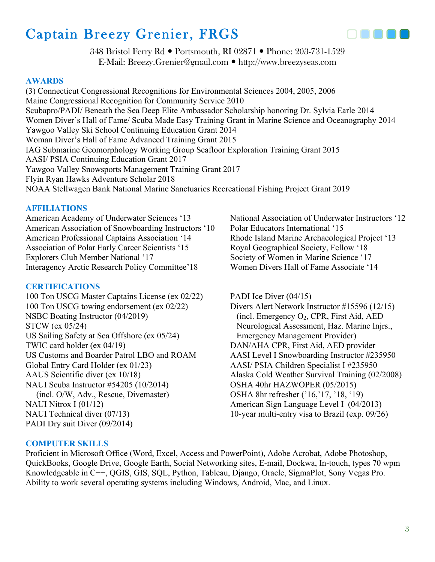

348 Bristol Ferry Rd • Portsmouth, RI 02871 • Phone: 203-731-1529 E-Mail: Breezy.Grenier@gmail.com ! http://www.breezyseas.com

### **AWARDS**

(3) Connecticut Congressional Recognitions for Environmental Sciences 2004, 2005, 2006 Maine Congressional Recognition for Community Service 2010 Scubapro/PADI/ Beneath the Sea Deep Elite Ambassador Scholarship honoring Dr. Sylvia Earle 2014 Women Diver's Hall of Fame/ Scuba Made Easy Training Grant in Marine Science and Oceanography 2014 Yawgoo Valley Ski School Continuing Education Grant 2014 Woman Diver's Hall of Fame Advanced Training Grant 2015 IAG Submarine Geomorphology Working Group Seafloor Exploration Training Grant 2015 AASI/ PSIA Continuing Education Grant 2017 Yawgoo Valley Snowsports Management Training Grant 2017 Flyin Ryan Hawks Adventure Scholar 2018 NOAA Stellwagen Bank National Marine Sanctuaries Recreational Fishing Project Grant 2019

# **AFFILIATIONS**

American Academy of Underwater Sciences '13 National Association of Underwater Instructors '12 American Association of Snowboarding Instructors '10 Polar Educators International '15 American Professional Captains Association '14 Rhode Island Marine Archaeological Project '13 Association of Polar Early Career Scientists '15 Royal Geographical Society, Fellow '18 Explorers Club Member National '17 Society of Women in Marine Science '17 Interagency Arctic Research Policy Committee'18 Women Divers Hall of Fame Associate '14

# **CERTIFICATIONS**

100 Ton USCG Master Captains License (ex 02/22) 100 Ton USCG towing endorsement (ex 02/22) NSBC Boating Instructor (04/2019) STCW (ex 05/24) US Sailing Safety at Sea Offshore (ex 05/24) TWIC card holder (ex 04/19) US Customs and Boarder Patrol LBO and ROAM Global Entry Card Holder (ex 01/23) AAUS Scientific diver (ex 10/18) NAUI Scuba Instructor #54205 (10/2014) (incl. O/W, Adv., Rescue, Divemaster) NAUI Nitrox I (01/12) NAUI Technical diver (07/13) PADI Dry suit Diver (09/2014)

PADI Ice Diver (04/15) Divers Alert Network Instructor #15596 (12/15) (incl. Emergency  $O_2$ , CPR, First Aid, AED Neurological Assessment, Haz. Marine Injrs., Emergency Management Provider) DAN/AHA CPR, First Aid, AED provider AASI Level I Snowboarding Instructor #235950 AASI/ PSIA Children Specialist I #235950 Alaska Cold Weather Survival Training (02/2008) OSHA 40hr HAZWOPER (05/2015) OSHA 8hr refresher ('16,'17, '18, '19) American Sign Language Level I (04/2013) 10-year multi-entry visa to Brazil (exp. 09/26)

### **COMPUTER SKILLS**

Proficient in Microsoft Office (Word, Excel, Access and PowerPoint), Adobe Acrobat, Adobe Photoshop, QuickBooks, Google Drive, Google Earth, Social Networking sites, E-mail, Dockwa, In-touch, types 70 wpm Knowledgeable in C++, QGIS, GIS, SQL, Python, Tableau, Django, Oracle, SigmaPlot, Sony Vegas Pro. Ability to work several operating systems including Windows, Android, Mac, and Linux.